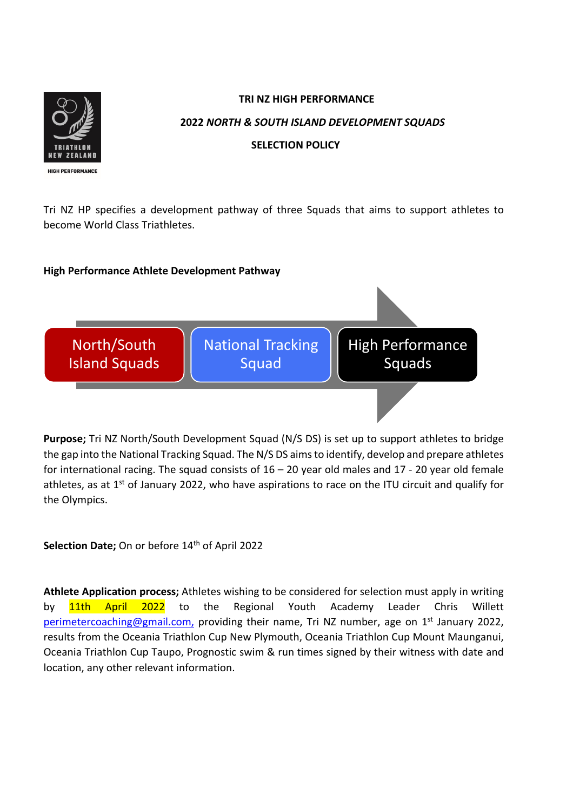

## **TRI NZ HIGH PERFORMANCE 2022** *NORTH & SOUTH ISLAND DEVELOPMENT SQUADS* **SELECTION POLICY**

Tri NZ HP specifies a development pathway of three Squads that aims to support athletes to become World Class Triathletes.

## **High Performance Athlete Development Pathway**



**Purpose;** Tri NZ North/South Development Squad (N/S DS) is set up to support athletes to bridge the gap into the National Tracking Squad. The N/S DS aimsto identify, develop and prepare athletes for international racing. The squad consists of  $16 - 20$  year old males and  $17 - 20$  year old female athletes, as at  $1<sup>st</sup>$  of January 2022, who have aspirations to race on the ITU circuit and qualify for the Olympics.

Selection Date; On or before 14<sup>th</sup> of April 2022

**Athlete Application process;** Athletes wishing to be considered for selection must apply in writing by **11th April 2022** to the Regional Youth Academy Leader Chris Willett perimetercoaching@gmail.com, providing their name, Tri NZ number, age on  $1<sup>st</sup>$  January 2022, results from the Oceania Triathlon Cup New Plymouth, Oceania Triathlon Cup Mount Maunganui, Oceania Triathlon Cup Taupo, Prognostic swim & run times signed by their witness with date and location, any other relevant information.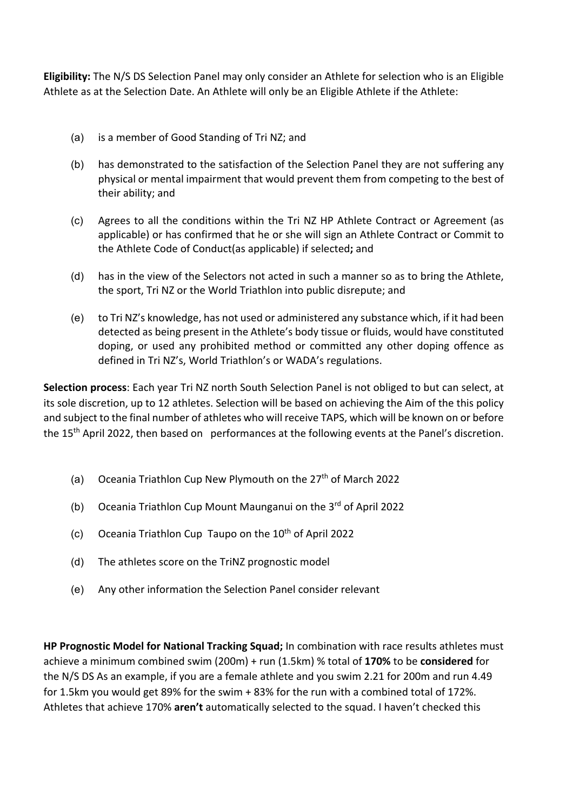**Eligibility:** The N/S DS Selection Panel may only consider an Athlete for selection who is an Eligible Athlete as at the Selection Date. An Athlete will only be an Eligible Athlete if the Athlete:

- (a) is a member of Good Standing of Tri NZ; and
- (b) has demonstrated to the satisfaction of the Selection Panel they are not suffering any physical or mental impairment that would prevent them from competing to the best of their ability; and
- (c) Agrees to all the conditions within the Tri NZ HP Athlete Contract or Agreement (as applicable) or has confirmed that he or she will sign an Athlete Contract or Commit to the Athlete Code of Conduct(as applicable) if selected**;** and
- (d) has in the view of the Selectors not acted in such a manner so as to bring the Athlete, the sport, Tri NZ or the World Triathlon into public disrepute; and
- (e) to Tri NZ's knowledge, has not used or administered any substance which, if it had been detected as being present in the Athlete's body tissue or fluids, would have constituted doping, or used any prohibited method or committed any other doping offence as defined in Tri NZ's, World Triathlon's or WADA's regulations.

**Selection process**: Each year Tri NZ north South Selection Panel is not obliged to but can select, at its sole discretion, up to 12 athletes. Selection will be based on achieving the Aim of the this policy and subject to the final number of athletes who will receive TAPS, which will be known on or before the 15th April 2022, then based on performances at the following events at the Panel's discretion.

- (a) Oceania Triathlon Cup New Plymouth on the  $27<sup>th</sup>$  of March 2022
- (b) Oceania Triathlon Cup Mount Maunganui on the 3rd of April 2022
- (c) Oceania Triathlon Cup Taupo on the  $10<sup>th</sup>$  of April 2022
- (d) The athletes score on the TriNZ prognostic model
- (e) Any other information the Selection Panel consider relevant

**HP Prognostic Model for National Tracking Squad;** In combination with race results athletes must achieve a minimum combined swim (200m) + run (1.5km) % total of **170%** to be **considered** for the N/S DS As an example, if you are a female athlete and you swim 2.21 for 200m and run 4.49 for 1.5km you would get 89% for the swim + 83% for the run with a combined total of 172%. Athletes that achieve 170% **aren't** automatically selected to the squad. I haven't checked this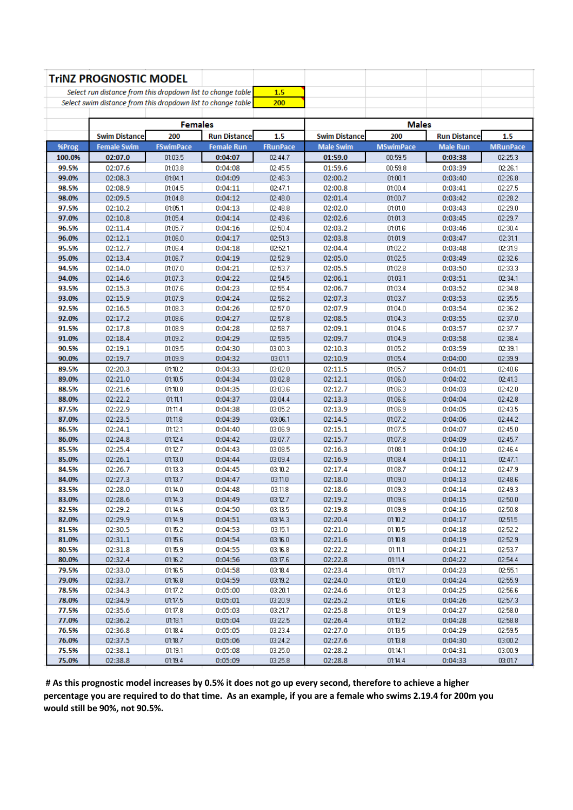|                                                             | <b>TriNZ PROGNOSTIC MODEL</b>                                |                    |                     |                    |                      |                    |                     |                    |
|-------------------------------------------------------------|--------------------------------------------------------------|--------------------|---------------------|--------------------|----------------------|--------------------|---------------------|--------------------|
| Select run distance from this dropdown list to change table |                                                              |                    | 1.5                 |                    |                      |                    |                     |                    |
|                                                             | Select swim distance from this dropdown list to change table |                    |                     | 200                |                      |                    |                     |                    |
|                                                             |                                                              |                    |                     |                    |                      |                    |                     |                    |
|                                                             | <b>Females</b>                                               |                    |                     |                    | <b>Males</b>         |                    |                     |                    |
|                                                             | <b>Swim Distance</b>                                         | 200                | <b>Run Distance</b> | 1.5                | <b>Swim Distance</b> | 200                | <b>Run Distance</b> | 1.5                |
| %Prog                                                       | <b>Female Swim</b>                                           | <b>FSwimPace</b>   | <b>Female Run</b>   | <b>FRunPace</b>    | <b>Male Swim</b>     | <b>MSwimPace</b>   | <b>Male Run</b>     | <b>MRunPace</b>    |
| 100.0%                                                      | 02:07.0                                                      | 01:03.5            | 0:04:07             | 02:44.7            | 01:59.0              | 00:59.5            | 0:03:38             | 02:25.3            |
| 99.5%                                                       | 02:07.6                                                      | 01:03.8            | 0:04:08             | 02:45.5            | 01:59.6              | 00:59.8            | 0:03:39             | 02:26.1            |
| 99.0%                                                       | 02:08.3                                                      | 01:04.1            | 0:04:09             | 02:46.3            | 02:00.2              | 01:00.1            | 0:03:40             | 02:26.8            |
| 98.5%                                                       | 02:08.9                                                      | 01:04.5            | 0:04:11             | 02:47.1            | 02:00.8              | 01:00.4            | 0:03:41             | 02:27.5            |
| 98.0%                                                       | 02:09.5                                                      | 01:04.8            | 0:04:12             | 02:48.0            | 02:01.4              | 01:00.7            | 0:03:42             | 02:28.2            |
| 97.5%                                                       | 02:10.2                                                      | 01:05.1            | 0:04:13             | 02:48.8            | 02:02.0              | 01:01.0            | 0:03:43             | 02:29.0            |
| 97.0%                                                       | 02:10.8                                                      | 01:05.4            | 0:04:14             | 02:49.6            | 02:02.6              | 01:01.3            | 0:03:45             | 02:29.7            |
| 96.5%<br>96.0%                                              | 02:11.4<br>02:12.1                                           | 01:05.7<br>01:06.0 | 0:04:16<br>0:04:17  | 02:50.4<br>02:51.3 | 02:03.2<br>02:03.8   | 01:01.6<br>01:01.9 | 0:03:46<br>0:03:47  | 02:30.4<br>02:31.1 |
| 95.5%                                                       | 02:12.7                                                      | 01:06.4            | 0:04:18             | 02:52.1            | 02:04.4              | 01:02.2            | 0:03:48             | 02:31.9            |
| 95.0%                                                       | 02:13.4                                                      | 01:06.7            | 0:04:19             | 02:52.9            | 02:05.0              | 01:02.5            | 0:03:49             | 02:32.6            |
| 94.5%                                                       | 02:14.0                                                      | 01:07.0            | 0:04:21             | 02:53.7            | 02:05.5              | 01:02.8            | 0:03:50             | 02:33.3            |
| 94.0%                                                       | 02:14.6                                                      | 01:07.3            | 0:04:22             | 02:54.5            | 02:06.1              | 01:03.1            | 0:03:51             | 02:34.1            |
| 93.5%                                                       | 02:15.3                                                      | 01:07.6            | 0:04:23             | 02:55.4            | 02:06.7              | 01:03.4            | 0:03:52             | 02:34.8            |
| 93.0%                                                       | 02:15.9                                                      | 01:07.9            | 0:04:24             | 02:56.2            | 02:07.3              | 01:03.7            | 0:03:53             | 02:35.5            |
| 92.5%                                                       | 02:16.5                                                      | 01:08.3            | 0:04:26             | 02:57.0            | 02:07.9              | 01:04.0            | 0:03:54             | 02:36.2            |
| 92.0%                                                       | 02:17.2                                                      | 01:08.6            | 0:04:27             | 02:57.8            | 02:08.5              | 01:04.3            | 0:03:55             | 02:37.0            |
| 91.5%                                                       | 02:17.8                                                      | 01:08.9            | 0:04:28             | 02:58.7            | 02:09.1              | 01:04.6            | 0:03:57             | 02:37.7            |
| 91.0%                                                       | 02:18.4                                                      | 01:09.2            | 0:04:29             | 02:59.5            | 02:09.7              | 01:04.9            | 0:03:58             | 02:38.4            |
| 90.5%                                                       | 02:19.1                                                      | 01:09.5            | 0:04:30             | 03:00.3            | 02:10.3              | 01:05.2            | 0:03:59             | 02:39.1            |
| 90.0%                                                       | 02:19.7                                                      | 01:09.9            | 0:04:32             | 03:01.1            | 02:10.9              | 01:05.4            | 0:04:00             | 02:39.9            |
| 89.5%                                                       | 02:20.3                                                      | 01:10.2            | 0:04:33             | 03:02.0            | 02:11.5              | 01:05.7            | 0:04:01             | 02:40.6            |
| 89.0%                                                       | 02:21.0                                                      | 01:10.5            | 0:04:34             | 03:02.8            | 02:12.1              | 01:06.0            | 0:04:02             | 02:41.3            |
| 88.5%                                                       | 02:21.6                                                      | 01:10.8            | 0:04:35             | 03:03.6            | 02:12.7              | 01:06.3            | 0:04:03             | 02:42.0            |
| 88.0%                                                       | 02:22.2                                                      | 01:11.1            | 0:04:37             | 03:04.4            | 02:13.3              | 01:06.6            | 0:04:04             | 02:42.8            |
| 87.5%                                                       | 02:22.9                                                      | 01:11.4            | 0:04:38             | 03:05.2            | 02:13.9              | 01:06.9            | 0:04:05             | 02:43.5            |
| 87.0%                                                       | 02:23.5                                                      | 01:11.8            | 0:04:39             | 03:06.1            | 02:14.5              | 01:07.2            | 0:04:06             | 02:44.2            |
| 86.5%                                                       | 02:24.1                                                      | 01:12.1            | 0:04:40             | 03:06.9            | 02:15.1              | 01:07.5            | 0:04:07             | 02:45.0            |
| 86.0%                                                       | 02:24.8                                                      | 01:12.4            | 0:04:42             | 03:07.7            | 02:15.7              | 01:07.8            | 0:04:09             | 02:45.7            |
| 85.5%                                                       | 02:25.4                                                      | 01:12.7            | 0:04:43             | 03:08.5            | 02:16.3              | 01:08.1            | 0:04:10             | 02:46.4            |
| 85.0%                                                       | 02:26.1                                                      | 01:13.0            | 0:04:44             | 03:09.4            | 02:16.9              | 01:08.4            | 0:04:11             | 02:47.1            |
| 84.5%                                                       | 02:26.7                                                      | 01:13.3            | 0:04:45             | 03:10.2            | 02:17.4              | 01:08.7            | 0:04:12             | 02:47.9            |
| 84.0%<br>83.5%                                              | 02:27.3                                                      | 01:13.7<br>01:14.0 | 0:04:47<br>0:04:48  | 03:11.0<br>03:11.8 | 02:18.0              | 01:09.0            | 0:04:13<br>0:04:14  | 02:48.6            |
| 83.0%                                                       | 02:28.0<br>02:28.6                                           | 01:14.3            | 0:04:49             | 03:12.7            | 02:18.6<br>02:19.2   | 01:09.3<br>01:09.6 | 0:04:15             | 02:49.3<br>02:50.0 |
| 82.5%                                                       | 02:29.2                                                      | 01:14.6            | 0:04:50             | 03:13.5            | 02:19.8              | 01:09.9            | 0:04:16             | 02:50.8            |
| 82.0%                                                       | 02:29.9                                                      | 01:14.9            | 0:04:51             | 03:14.3            | 02:20.4              | 01:10.2            | 0:04:17             | 02:51.5            |
| 81.5%                                                       | 02:30.5                                                      | 01:15.2            | 0:04:53             | 03:15.1            | 02:21.0              | 01:10.5            | 0:04:18             | 02:52.2            |
| 81.0%                                                       | 02:31.1                                                      | 01:15.6            | 0:04:54             | 03:16.0            | 02:21.6              | 01:10.8            | 0:04:19             | 02:52.9            |
| 80.5%                                                       | 02:31.8                                                      | 01:15.9            | 0:04:55             | 03:16.8            | 02:22.2              | 01:11.1            | 0:04:21             | 02:53.7            |
| 80.0%                                                       | 02:32.4                                                      | 01:16.2            | 0:04:56             | 03:17.6            | 02:22.8              | 01:11.4            | 0:04:22             | 02:54.4            |
| 79.5%                                                       | 02:33.0                                                      | 01:16.5            | 0:04:58             | 03:18.4            | 02:23.4              | 01:11.7            | 0:04:23             | 02:55.1            |
| 79.0%                                                       | 02:33.7                                                      | 01:16.8            | 0:04:59             | 03:19.2            | 02:24.0              | 01:12.0            | 0:04:24             | 02:55.9            |
| 78.5%                                                       | 02:34.3                                                      | 01:17.2            | 0:05:00             | 03:20.1            | 02:24.6              | 01:12.3            | 0:04:25             | 02:56.6            |
| 78.0%                                                       | 02:34.9                                                      | 01:17.5            | 0:05:01             | 03:20.9            | 02:25.2              | 01:12.6            | 0:04:26             | 02:57.3            |
| 77.5%                                                       | 02:35.6                                                      | 01:17.8            | 0:05:03             | 03:21.7            | 02:25.8              | 01:12.9            | 0:04:27             | 02:58.0            |
| 77.0%                                                       | 02:36.2                                                      | 01:18.1            | 0:05:04             | 03:22.5            | 02:26.4              | 01:13.2            | 0:04:28             | 02:58.8            |
| 76.5%                                                       | 02:36.8                                                      | 01:18.4            | 0:05:05             | 03:23.4            | 02:27.0              | 01:13.5            | 0:04:29             | 02:59.5            |
| 76.0%                                                       | 02:37.5                                                      | 01:18.7            | 0:05:06             | 03:24.2            | 02:27.6              | 01:13.8            | 0:04:30             | 03:00.2            |
| 75.5%                                                       | 02:38.1                                                      | 01:19.1            | 0:05:08             | 03:25.0            | 02:28.2              | 01:14.1            | 0:04:31             | 03:00.9            |
| 75.0%                                                       | 02:38.8                                                      | 01:19.4            | 0:05:09             | 03:25.8            | 02:28.8              | 01:14.4            | 0:04:33             | 03:01.7            |

**# As this prognostic model increases by 0.5% it does not go up every second, therefore to achieve a higher percentage you are required to do that time. As an example, if you are a female who swims 2.19.4 for 200m you would still be 90%, not 90.5%.**